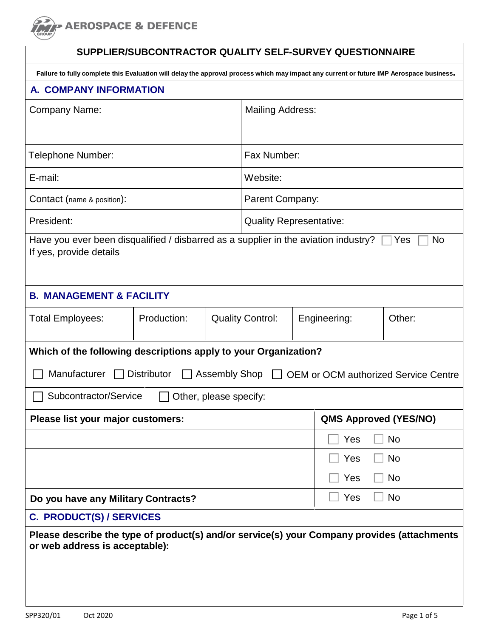**> AEROSPACE & DEFENCE** 

# **SUPPLIER/SUBCONTRACTOR QUALITY SELF-SURVEY QUESTIONNAIRE**

| Failure to fully complete this Evaluation will delay the approval process which may impact any current or future IMP Aerospace business. |                               |                        |                                |  |                              |                                                      |
|------------------------------------------------------------------------------------------------------------------------------------------|-------------------------------|------------------------|--------------------------------|--|------------------------------|------------------------------------------------------|
| A. COMPANY INFORMATION                                                                                                                   |                               |                        |                                |  |                              |                                                      |
| <b>Company Name:</b>                                                                                                                     |                               |                        | <b>Mailing Address:</b>        |  |                              |                                                      |
| Telephone Number:                                                                                                                        |                               |                        | Fax Number:                    |  |                              |                                                      |
| E-mail:                                                                                                                                  |                               |                        | Website:                       |  |                              |                                                      |
| Contact (name & position):                                                                                                               |                               |                        | Parent Company:                |  |                              |                                                      |
| President:                                                                                                                               |                               |                        | <b>Quality Representative:</b> |  |                              |                                                      |
| Have you ever been disqualified / disbarred as a supplier in the aviation industry?<br>If yes, provide details                           |                               |                        |                                |  |                              | No<br>Yes                                            |
| <b>B. MANAGEMENT &amp; FACILITY</b>                                                                                                      |                               |                        |                                |  |                              |                                                      |
| <b>Total Employees:</b>                                                                                                                  | Production:                   |                        | <b>Quality Control:</b>        |  | Engineering:                 | Other:                                               |
| Which of the following descriptions apply to your Organization?                                                                          |                               |                        |                                |  |                              |                                                      |
| Manufacturer                                                                                                                             | <b>Distributor</b><br>$\perp$ |                        |                                |  |                              | Assembly Shop □ OEM or OCM authorized Service Centre |
| Subcontractor/Service                                                                                                                    |                               | Other, please specify: |                                |  |                              |                                                      |
| Please list your major customers:                                                                                                        |                               |                        |                                |  | <b>QMS Approved (YES/NO)</b> |                                                      |
|                                                                                                                                          |                               |                        |                                |  | Yes                          | <b>No</b>                                            |
|                                                                                                                                          |                               |                        |                                |  | Yes                          | No                                                   |
|                                                                                                                                          |                               |                        |                                |  | Yes                          | No                                                   |
| Yes<br><b>No</b><br>Do you have any Military Contracts?                                                                                  |                               |                        |                                |  |                              |                                                      |
| <b>C. PRODUCT(S) / SERVICES</b>                                                                                                          |                               |                        |                                |  |                              |                                                      |
| Please describe the type of product(s) and/or service(s) your Company provides (attachments<br>or web address is acceptable):            |                               |                        |                                |  |                              |                                                      |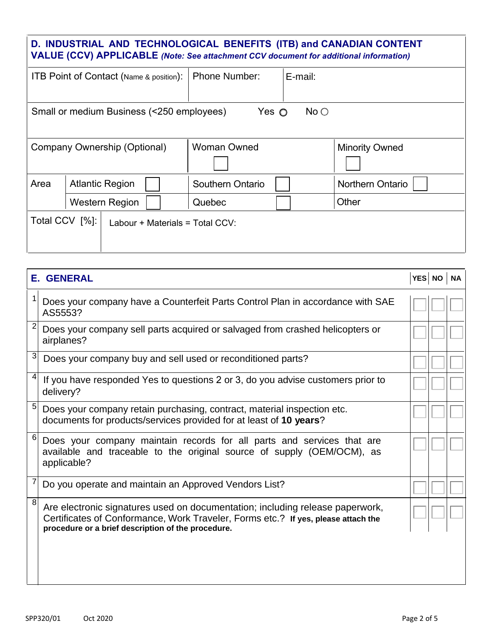# **D. INDUSTRIAL AND TECHNOLOGICAL BENEFITS (ITB) and CANADIAN CONTENT VALUE (CCV) APPLICABLE** *(Note: See attachment CCV document for additional information)*

| <b>ITB Point of Contact (Name &amp; position):</b> |  | <b>Phone Number:</b>                      | E-mail:            |      |                         |
|----------------------------------------------------|--|-------------------------------------------|--------------------|------|-------------------------|
|                                                    |  |                                           |                    |      |                         |
|                                                    |  | Small or medium Business (<250 employees) | Yes $\bigcirc$     | No O |                         |
|                                                    |  |                                           |                    |      |                         |
|                                                    |  | Company Ownership (Optional)              | <b>Woman Owned</b> |      | <b>Minority Owned</b>   |
|                                                    |  |                                           |                    |      |                         |
| Area                                               |  | <b>Atlantic Region</b>                    | Southern Ontario   |      | <b>Northern Ontario</b> |
|                                                    |  | <b>Western Region</b>                     | Quebec             |      | Other                   |
| Total CCV [%]:<br>Labour + Materials = Total CCV:  |  |                                           |                    |      |                         |
|                                                    |  |                                           |                    |      |                         |
|                                                    |  |                                           |                    |      |                         |

|   | <b>E. GENERAL</b>                                                                                                                                                                                                        |  |  |
|---|--------------------------------------------------------------------------------------------------------------------------------------------------------------------------------------------------------------------------|--|--|
| 1 | Does your company have a Counterfeit Parts Control Plan in accordance with SAE<br>AS5553?                                                                                                                                |  |  |
| 2 | Does your company sell parts acquired or salvaged from crashed helicopters or<br>airplanes?                                                                                                                              |  |  |
| 3 | Does your company buy and sell used or reconditioned parts?                                                                                                                                                              |  |  |
| 4 | If you have responded Yes to questions 2 or 3, do you advise customers prior to<br>delivery?                                                                                                                             |  |  |
| 5 | Does your company retain purchasing, contract, material inspection etc.<br>documents for products/services provided for at least of 10 years?                                                                            |  |  |
| 6 | Does your company maintain records for all parts and services that are<br>available and traceable to the original source of supply (OEM/OCM), as<br>applicable?                                                          |  |  |
| 7 | Do you operate and maintain an Approved Vendors List?                                                                                                                                                                    |  |  |
| 8 | Are electronic signatures used on documentation; including release paperwork,<br>Certificates of Conformance, Work Traveler, Forms etc.? If yes, please attach the<br>procedure or a brief description of the procedure. |  |  |
|   |                                                                                                                                                                                                                          |  |  |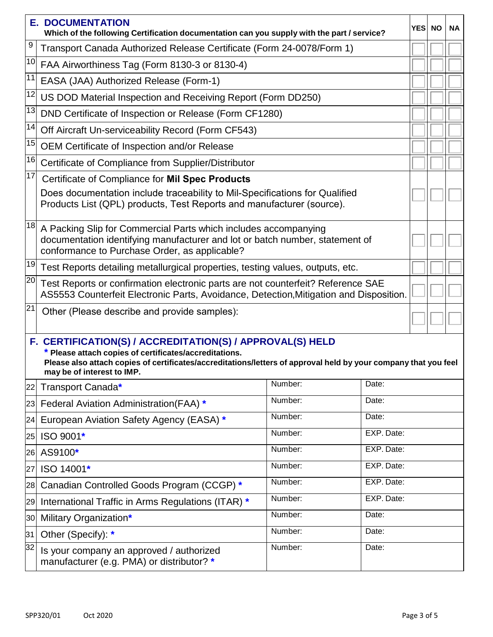|                 | <b>E. DOCUMENTATION</b><br>Which of the following Certification documentation can you supply with the part / service?                                                                                                                                                |         |            | <b>YES</b> | <b>NO</b> | <b>NA</b> |
|-----------------|----------------------------------------------------------------------------------------------------------------------------------------------------------------------------------------------------------------------------------------------------------------------|---------|------------|------------|-----------|-----------|
| 9               | Transport Canada Authorized Release Certificate (Form 24-0078/Form 1)                                                                                                                                                                                                |         |            |            |           |           |
| 10              | FAA Airworthiness Tag (Form 8130-3 or 8130-4)                                                                                                                                                                                                                        |         |            |            |           |           |
| 11              | EASA (JAA) Authorized Release (Form-1)                                                                                                                                                                                                                               |         |            |            |           |           |
| 12              | US DOD Material Inspection and Receiving Report (Form DD250)                                                                                                                                                                                                         |         |            |            |           |           |
| 13              | DND Certificate of Inspection or Release (Form CF1280)                                                                                                                                                                                                               |         |            |            |           |           |
| 14              | Off Aircraft Un-serviceability Record (Form CF543)                                                                                                                                                                                                                   |         |            |            |           |           |
| 15              | OEM Certificate of Inspection and/or Release                                                                                                                                                                                                                         |         |            |            |           |           |
| 16              | Certificate of Compliance from Supplier/Distributor                                                                                                                                                                                                                  |         |            |            |           |           |
| 17              | Certificate of Compliance for Mil Spec Products                                                                                                                                                                                                                      |         |            |            |           |           |
|                 | Does documentation include traceability to Mil-Specifications for Qualified<br>Products List (QPL) products, Test Reports and manufacturer (source).                                                                                                                 |         |            |            |           |           |
| 18              | A Packing Slip for Commercial Parts which includes accompanying<br>documentation identifying manufacturer and lot or batch number, statement of<br>conformance to Purchase Order, as applicable?                                                                     |         |            |            |           |           |
| 19              | Test Reports detailing metallurgical properties, testing values, outputs, etc.                                                                                                                                                                                       |         |            |            |           |           |
| $\overline{20}$ | Test Reports or confirmation electronic parts are not counterfeit? Reference SAE<br>AS5553 Counterfeit Electronic Parts, Avoidance, Detection, Mitigation and Disposition.                                                                                           |         |            |            |           |           |
| 21              | Other (Please describe and provide samples):                                                                                                                                                                                                                         |         |            |            |           |           |
|                 | F. CERTIFICATION(S) / ACCREDITATION(S) / APPROVAL(S) HELD<br>* Please attach copies of certificates/accreditations.<br>Please also attach copies of certificates/accreditations/letters of approval held by your company that you feel<br>may be of interest to IMP. |         |            |            |           |           |
| 22              | Transport Canada*                                                                                                                                                                                                                                                    | Number: | Date:      |            |           |           |
|                 | 23 Federal Aviation Administration(FAA) *                                                                                                                                                                                                                            | Number: | Date:      |            |           |           |
| 24              | European Aviation Safety Agency (EASA) *                                                                                                                                                                                                                             | Number: | Date:      |            |           |           |
| 25              | ISO 9001*                                                                                                                                                                                                                                                            | Number: | EXP. Date: |            |           |           |
| 26              | AS9100*                                                                                                                                                                                                                                                              | Number: | EXP. Date: |            |           |           |
| 27              | ISO 14001*                                                                                                                                                                                                                                                           | Number: | EXP. Date: |            |           |           |
| 28              | Canadian Controlled Goods Program (CCGP) *                                                                                                                                                                                                                           | Number: | EXP. Date: |            |           |           |
| 29              | International Traffic in Arms Regulations (ITAR) *                                                                                                                                                                                                                   | Number: | EXP. Date: |            |           |           |
| 30              | Military Organization*                                                                                                                                                                                                                                               | Number: | Date:      |            |           |           |
| 31              | Other (Specify): *                                                                                                                                                                                                                                                   | Number: | Date:      |            |           |           |
| 32              | Is your company an approved / authorized<br>manufacturer (e.g. PMA) or distributor? *                                                                                                                                                                                | Number: | Date:      |            |           |           |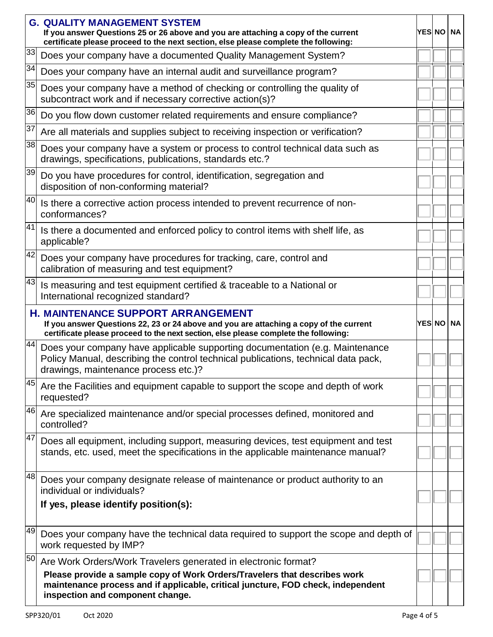|    | <b>G. QUALITY MANAGEMENT SYSTEM</b><br>If you answer Questions 25 or 26 above and you are attaching a copy of the current<br>certificate please proceed to the next section, else please complete the following:           |  | YES NO NA |
|----|----------------------------------------------------------------------------------------------------------------------------------------------------------------------------------------------------------------------------|--|-----------|
| 33 | Does your company have a documented Quality Management System?                                                                                                                                                             |  |           |
| 34 | Does your company have an internal audit and surveillance program?                                                                                                                                                         |  |           |
| 35 | Does your company have a method of checking or controlling the quality of<br>subcontract work and if necessary corrective action(s)?                                                                                       |  |           |
| 36 | Do you flow down customer related requirements and ensure compliance?                                                                                                                                                      |  |           |
| 37 | Are all materials and supplies subject to receiving inspection or verification?                                                                                                                                            |  |           |
| 38 | Does your company have a system or process to control technical data such as<br>drawings, specifications, publications, standards etc.?                                                                                    |  |           |
| 39 | Do you have procedures for control, identification, segregation and<br>disposition of non-conforming material?                                                                                                             |  |           |
| 40 | Is there a corrective action process intended to prevent recurrence of non-<br>conformances?                                                                                                                               |  |           |
| 41 | Is there a documented and enforced policy to control items with shelf life, as<br>applicable?                                                                                                                              |  |           |
| 42 | Does your company have procedures for tracking, care, control and<br>calibration of measuring and test equipment?                                                                                                          |  |           |
| 43 | Is measuring and test equipment certified & traceable to a National or<br>International recognized standard?                                                                                                               |  |           |
|    | <b>H. MAINTENANCE SUPPORT ARRANGEMENT</b><br>If you answer Questions 22, 23 or 24 above and you are attaching a copy of the current<br>certificate please proceed to the next section, else please complete the following: |  | YES NO NA |
| 44 | Does your company have applicable supporting documentation (e.g. Maintenance<br>Policy Manual, describing the control technical publications, technical data pack,<br>drawings, maintenance process etc.)?                 |  |           |
| 45 | Are the Facilities and equipment capable to support the scope and depth of work<br>requested?                                                                                                                              |  |           |
| 46 | Are specialized maintenance and/or special processes defined, monitored and<br>controlled?                                                                                                                                 |  |           |
| 47 | Does all equipment, including support, measuring devices, test equipment and test<br>stands, etc. used, meet the specifications in the applicable maintenance manual?                                                      |  |           |
| 48 | Does your company designate release of maintenance or product authority to an<br>individual or individuals?                                                                                                                |  |           |
|    | If yes, please identify position(s):                                                                                                                                                                                       |  |           |
| 49 | Does your company have the technical data required to support the scope and depth of<br>work requested by IMP?                                                                                                             |  |           |
| 50 | Are Work Orders/Work Travelers generated in electronic format?                                                                                                                                                             |  |           |
|    | Please provide a sample copy of Work Orders/Travelers that describes work<br>maintenance process and if applicable, critical juncture, FOD check, independent<br>inspection and component change.                          |  |           |